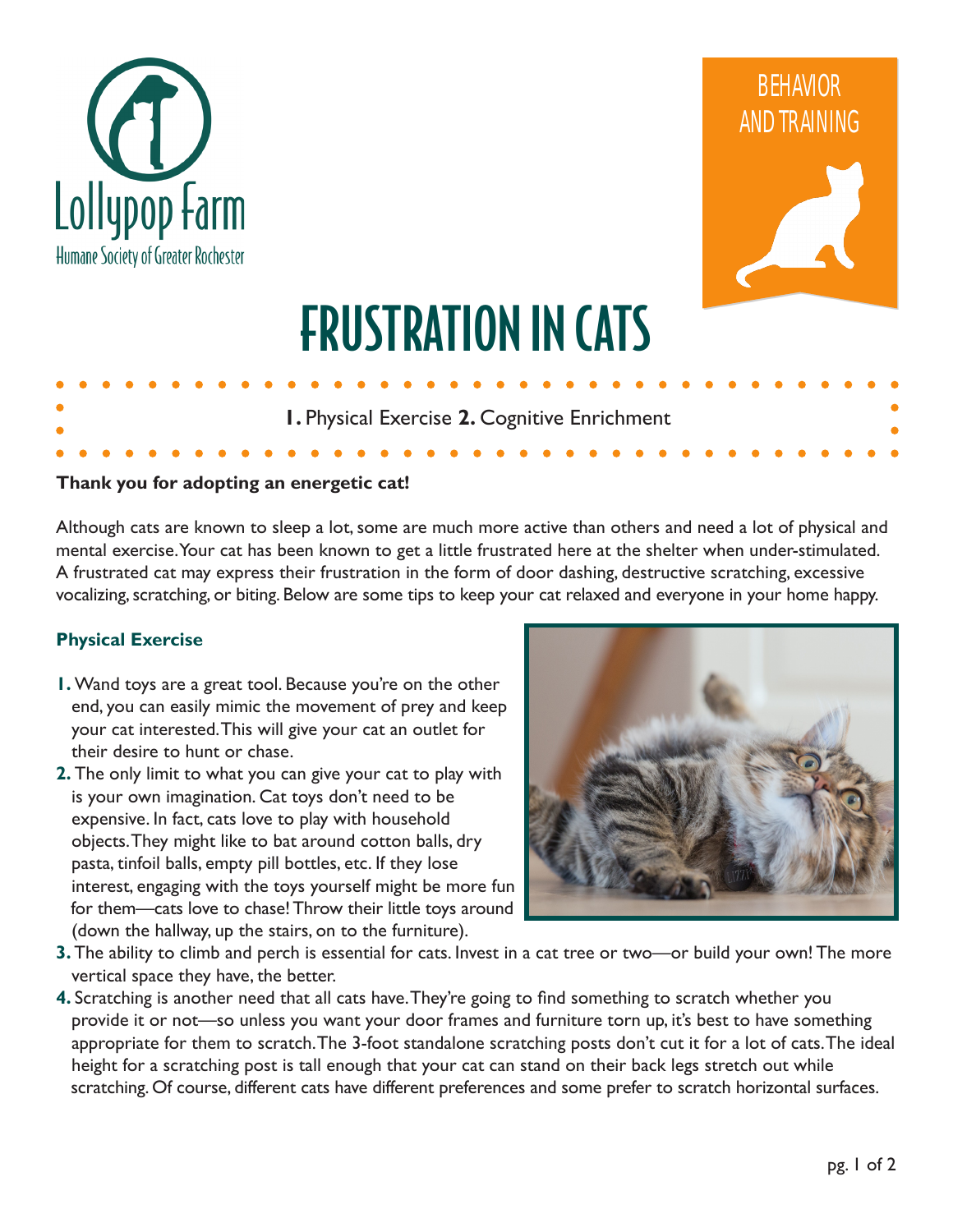



# FRUSTRATION IN CATS

**1.** Physical Exercise **2.** Cognitive Enrichment

### **Thank you for adopting an energetic cat!**

Although cats are known to sleep a lot, some are much more active than others and need a lot of physical and mental exercise. Your cat has been known to get a little frustrated here at the shelter when under-stimulated. A frustrated cat may express their frustration in the form of door dashing, destructive scratching, excessive vocalizing, scratching, or biting. Below are some tips to keep your cat relaxed and everyone in your home happy.

#### **Physical Exercise**

- **1.** Wand toys are a great tool. Because you're on the other end, you can easily mimic the movement of prey and keep your cat interested. This will give your cat an outlet for their desire to hunt or chase.
- **2.** The only limit to what you can give your cat to play with is your own imagination. Cat toys don't need to be expensive. In fact, cats love to play with household objects. They might like to bat around cotton balls, dry pasta, tinfoil balls, empty pill bottles, etc. If they lose interest, engaging with the toys yourself might be more fun for them—cats love to chase! Throw their little toys around (down the hallway, up the stairs, on to the furniture).



- **3.** The ability to climb and perch is essential for cats. Invest in a cat tree or two—or build your own! The more vertical space they have, the better.
- **4.** Scratching is another need that all cats have. They're going to find something to scratch whether you provide it or not—so unless you want your door frames and furniture torn up, it's best to have something appropriate for them to scratch. The 3-foot standalone scratching posts don't cut it for a lot of cats. The ideal height for a scratching post is tall enough that your cat can stand on their back legs stretch out while scratching. Of course, different cats have different preferences and some prefer to scratch horizontal surfaces.